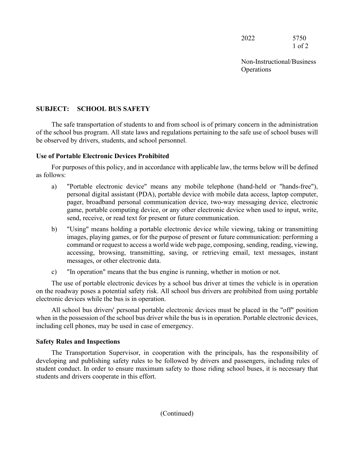2022 5750 1 of 2

Non-Instructional/Business **Operations** 

## **SUBJECT: SCHOOL BUS SAFETY**

The safe transportation of students to and from school is of primary concern in the administration of the school bus program. All state laws and regulations pertaining to the safe use of school buses will be observed by drivers, students, and school personnel.

## **Use of Portable Electronic Devices Prohibited**

For purposes of this policy, and in accordance with applicable law, the terms below will be defined as follows:

- a) "Portable electronic device" means any mobile telephone (hand-held or "hands-free"), personal digital assistant (PDA), portable device with mobile data access, laptop computer, pager, broadband personal communication device, two-way messaging device, electronic game, portable computing device, or any other electronic device when used to input, write, send, receive, or read text for present or future communication.
- b) "Using" means holding a portable electronic device while viewing, taking or transmitting images, playing games, or for the purpose of present or future communication: performing a command or request to access a world wide web page, composing, sending, reading, viewing, accessing, browsing, transmitting, saving, or retrieving email, text messages, instant messages, or other electronic data.
- c) "In operation" means that the bus engine is running, whether in motion or not.

The use of portable electronic devices by a school bus driver at times the vehicle is in operation on the roadway poses a potential safety risk. All school bus drivers are prohibited from using portable electronic devices while the bus is in operation.

All school bus drivers' personal portable electronic devices must be placed in the "off" position when in the possession of the school bus driver while the bus is in operation. Portable electronic devices, including cell phones, may be used in case of emergency.

## **Safety Rules and Inspections**

The Transportation Supervisor, in cooperation with the principals, has the responsibility of developing and publishing safety rules to be followed by drivers and passengers, including rules of student conduct. In order to ensure maximum safety to those riding school buses, it is necessary that students and drivers cooperate in this effort.